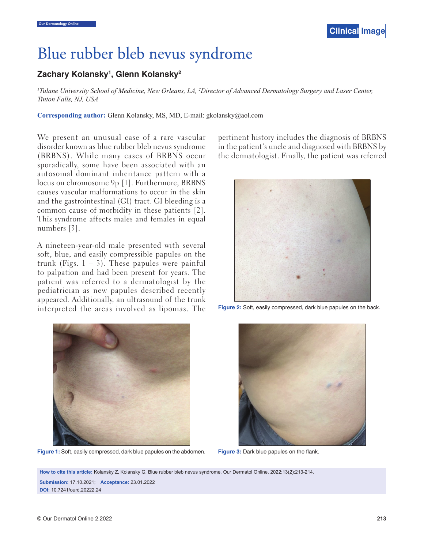

## Blue rubber bleb nevus syndrome

## **Zachary Kolansky1 , Glenn Kolansky2**

*1 Tulane University School of Medicine, New Orleans, LA, 2 Director of Advanced Dermatology Surgery and Laser Center, Tinton Falls, NJ, USA*

**Corresponding author:** Glenn Kolansky, MS, MD, E-mail: gkolansky@aol.com

 We present an unusual case of a rare vascular disorder known as blue rubber bleb nevus syndrome (BRBNS). While many cases of BRBNS occur sporadically, some have been associated with an autosomal dominant inheritance pattern with a locus on chromosome 9p [1]. Furthermore, BRBNS causes vascular malformations to occur in the skin and the gastrointestinal (GI) tract. GI bleeding is a common cause of morbidity in these patients [2]. This syndrome affects males and females in equal numbers [3].

A nineteen-year-old male presented with several soft, blue, and easily compressible papules on the trunk (Figs.  $1 - 3$ ). These papules were painful to palpation and had been present for years. The patient was referred to a dermatologist by the pediatrician as new papules described recently appeared. Additionally, an ultrasound of the trunk interpreted the areas involved as lipomas. The



**Figure 1:** Soft, easily compressed, dark blue papules on the abdomen. **Figure 3:** Dark blue papules on the flank.

pertinent history includes the diagnosis of BRBNS in the patient's uncle and diagnosed with BRBNS by the dermatologist. Finally, the patient was referred



**Figure 2:** Soft, easily compressed, dark blue papules on the back.



**How to cite this article:** Kolansky Z, Kolansky G. Blue rubber bleb nevus syndrome. Our Dermatol Online. 2022;13(2):213-214. **Submission:** 17.10.2021; **Acceptance:** 23.01.2022 **DOI:** 10.7241/ourd.20222.24